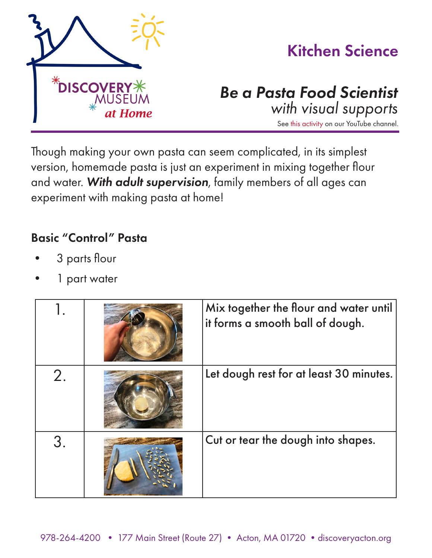

Though making your own pasta can seem complicated, in its simplest version, homemade pasta is just an experiment in mixing together flour and water. *With adult supervision*, family members of all ages can experiment with making pasta at home!

## Basic "Control" Pasta

- 3 parts flour
- 1 part water

|    | Mix together the flour and water until<br>it forms a smooth ball of dough. |
|----|----------------------------------------------------------------------------|
|    | Let dough rest for at least 30 minutes.                                    |
| 3. | Cut or tear the dough into shapes.                                         |